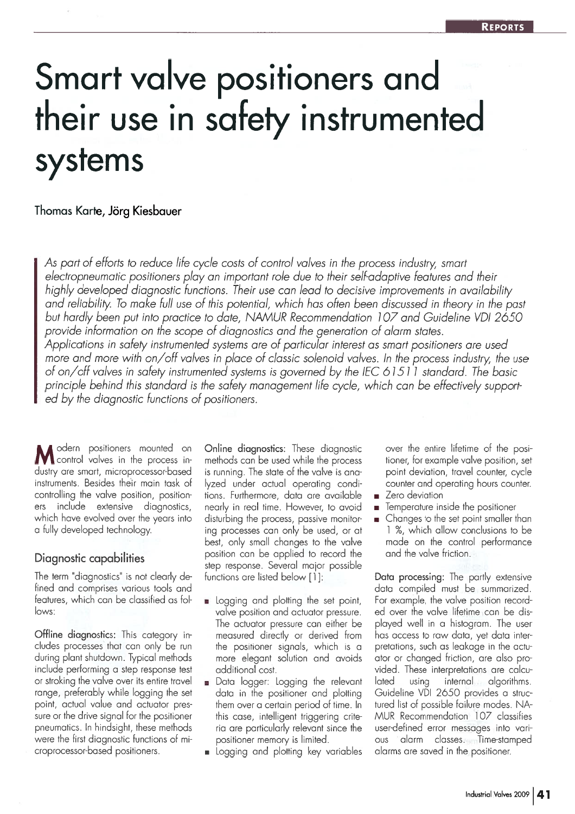# Smart valve positioners and their use in safety instrumented systems

#### Thomas Karte, Jörg Kiesbauer

As par<sup>t</sup> of efforts to reduce life cycle costs of control valves in the process industry, smart electropneumatic positioners play an important role due to their self-adaptive features and their highly developed diagnostic functions. Their use can lead to decisive improvements in availability and reliability. To make full use of this potential, which has often been discussed in theory in the pas<sup>t</sup> but hardly been pu<sup>t</sup> into practice to date, NAMUR Recommendation 107 and Guideline VOl 2650 provide information on the scope of diagnostics and the generation of alarm states. Applications in safety instrumented systems are of particular interest as smart positioners are used more and more with on/off valves in place of classic solenoid valves. In the process industry, the use of on/off valves in safety instrumented systems is governed by the IEC 6 1511 standard. The basic principle behind this standard is the safety managemen<sup>t</sup> life cycle, which can be effectively suppor<sup>t</sup> ed by the diagnostic functions of positioners.

Modern positioners mounted on<br>
Moontrol valves in the process industry are smart, microprocessor-based instruments. Besides their main task ofcontrolling the valve position, position erss include extensive diagnostics which have evolved over the years into a fully developed technology.

### Diagnostic capabilities

The term "diagnostics" is not clearly de fined and comprises various tools and features, which can be classified as fol lows:

Offline diagnostics: This category in cludes processes that con only be run during plant shutdown. Typical methods include performing <sup>a</sup> step response test or stroking the valve over its entire travel range, preferably while logging the set point, actual value and actuator pres sure or the drive signal for the positioner pneumatics. In hindsight, these methods were the first diagnostic functions of mi croprocessor-based positioners.

Online diagnostics: These diagnostic methods can be used while the process is running. The state of the valve is ana lyzed under actual operating condi tions. Furthermore, data are available nearly in real time. However, to avoid disturbing the process, passive monitor ing processes con only be used, or at best, only small changes to the valve position can be applied to record the step response. Several major possible functions are listed below [1]:

- Logging and plotting the set point, valve position and actuator pressure. The actuator pressure can either be measured directly or derived from the positioner signals, which is <sup>a</sup> more elegant solution and avoids additional cost.
- Data logger: Logging the relevant data in the positioner and plotting them over <sup>a</sup> certain period of time. In this case, intelligent triggering crite ria are particularly relevant since the positioner memory is limited.
- Logging and plotting key variables

over the entire lifetime of the posi tioner, for example valve position, set point deviation, travel counter, cycle counter and operating hours counter.  $\blacksquare$  Zero deviation

- 
- $\blacksquare$  Temperature inside the positioner
- $\blacksquare$  Changes to the set point smaller than 1 %, which allow conclusions to be made on the control performance and the valve friction.

Data processing: The partly extensive data compiled must be summarized. For example, the valve position record ed over the valve lifetime can be dis played well in <sup>a</sup> histogram. The user has access to raw data, ye<sup>t</sup> data inter pretations, such as leakage in the actu ator or changed friction, are also pro vided. These interpretations are calcu latedusing internal algorithms. Guideline VDI 2650 provides <sup>a</sup> struc tured list of possible failure modes. NA MUR Recommendation 1 07 classifies user-defined error messages into vari ousis alarm classes. Time-stamped alarms are saved in the positioner.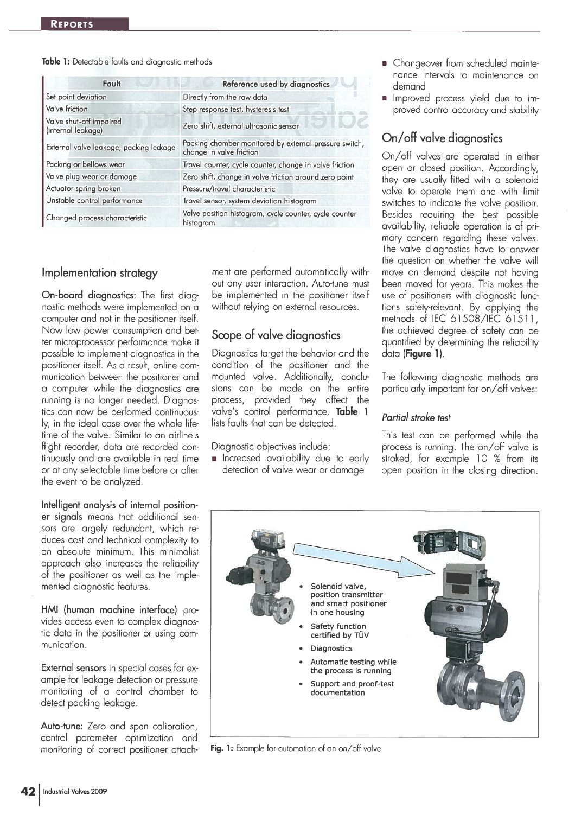#### Table 1: Detectable faults and diagnostic methods

| Fault                                         | Reference used by diagnostics                                                      |  |
|-----------------------------------------------|------------------------------------------------------------------------------------|--|
| Set point deviation                           | Directly from the raw data                                                         |  |
| Valve friction                                | Step response test, hysteresis test                                                |  |
| Valve shut-off impaired<br>(internal leakage) | Zero shift, external ultrasonic sensor                                             |  |
| External valve leakage, packing leckage       | Packing chamber monitored by external pressure switch,<br>change in valve friction |  |
| Packing or bellows wear                       | Travel counter, cycle counter, change in valve friction                            |  |
| Valve plug wear or damage                     | Zero shift, change in valve friction around zero point                             |  |
| Actuator spring broken                        | Pressure/travel characteristic                                                     |  |
| Unstable control performance                  | Travel sensor, system deviation histogram                                          |  |
| Changed process characteristic                | Valve position histogram, cycle counter, cycle counter<br>histogram                |  |

#### Implementation strategy

On-board diagnostics: The first diagnostic methods were implemented on <sup>a</sup> computer and not in the positioner itself. Now low power consumption and bet ter microprocessor performance make it possible to implement diagnostics in the positioner itself. As <sup>a</sup> result, online com munication between the positioner and <sup>a</sup> computer while the diagnostics are running is no longer needed. Diagnos tics can now be performed continuous ly, in the ideal case over the whole life-<br>time of the valve. Similar to an airline's flight recorder, data are recorded continuously and are available in real time or at any selectable time before or after the event to be analyzed.

Intelligent analysis of internal position er signals means that additional sen sors are largely redundant, which re duces cost and technical complexity to an absolute minimum. This minimalist approach also increases the reliability of the positioner as well as the imple mented diagnostic features.

HMI (human machine interface) pro vides access even to complex diagnos tic data in the positioner or using com munication.

External sensors in special cases for ex ample for leakage detection or pressure monitoring of <sup>a</sup> control chamber to detect packing leakage.

Auto-tune: Zero and span calibration, control parameter optimization and monitoring of correct positioner attachment are performed automatically with out any user interaction. Auto-tune must be implemented in the positioner itself without relying on external resources.

# Scope of valve diagnostics

Diagnostics target the behavior and the condition of the positioner and the mounted valve. Additionally, conclu sions can be made on the entire process, provided they affect the valve's control performance. Table 1 lists faults that can be detected.

Diagnostic objectives include:

**n** Increased availability due to early detection of valve wear or damage

- Changeover from scheduled maintenance intervals to maintenance on demand
- **I** Improved process yield due to improved control accuracy and stability

# On/off valve diagnostics

On/off valves are operated in either open or closed position. Accordingly, they are usually fitted with <sup>a</sup> solenoid valve to operate them and with limit switches to indicate the valve position. Besides requiring the best possible availability, reliable operation is of pri mary concern regarding these valves. The valve diagnostics have to answer the question on whether the valve will move on demand despite not having been moved for years. This makes the use of positioners with diagnostic func tions safety-relevant. By applying the methods of IEC 61508/IEC 61511, the achieved degree of safety can be quantified by determining the reliability data (Figure 1).

The following diagnostic methods are particularly important for on/off valves:

#### Partial stroke test

This test can be performed while the process is running. The on/off valve <sup>i</sup> stroked, for example 10 % from its open position in the closing direction.



Fig. 1: Example for automation of an on/off valve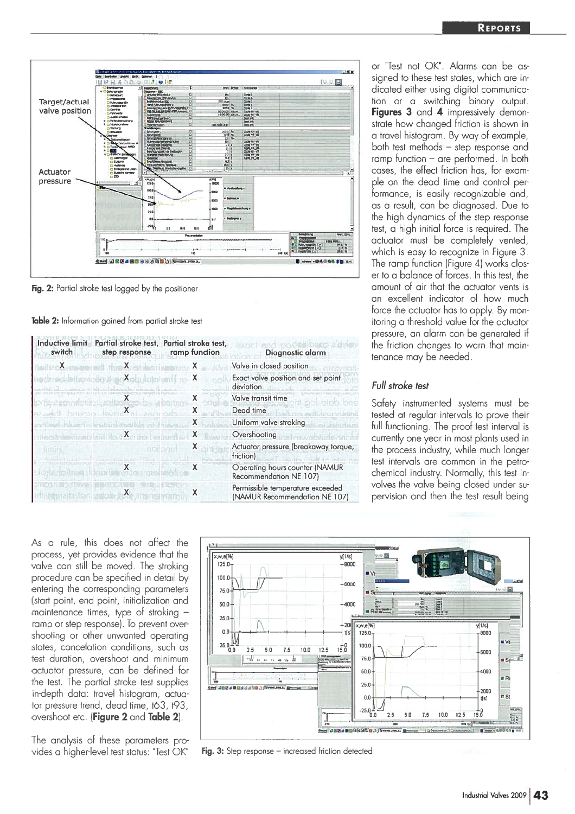

Fig. 2: Partial stroke test logged by the positioner

**Table 2:** Information gained from partial stroke test

| <b>Inductive limit</b><br>switch. | Partial stroke test,<br>step response | Partial stroke test,<br>ramp function | Diagnostic alarm                                                  |
|-----------------------------------|---------------------------------------|---------------------------------------|-------------------------------------------------------------------|
| x                                 |                                       |                                       | Valve in closed position                                          |
|                                   | х                                     | χ                                     | Exact valve position and set point<br>deviation                   |
|                                   |                                       | х                                     | Valve transit time                                                |
|                                   |                                       | Х                                     | Dead time                                                         |
|                                   |                                       | х                                     | Uniform valve stroking                                            |
|                                   |                                       | х                                     | Overshooting                                                      |
|                                   |                                       | X                                     | Actuator pressure (breakaway torque,<br>friction)                 |
|                                   |                                       |                                       | Operating hours counter (NAMUR<br>Recommendation NE 107)          |
|                                   | х                                     |                                       | Permissible temperature exceeded<br>(NAMUR Recommendation NE 107) |

or "Test not OK". Alarms can be as signed to these test states, which are in dicated either using digital communica tion or a switching binary output. F**igures 3** and **4** impressively demonstrate how changed friction is shown in a travel histogram. By way of example, both test methods — step response and ramp function — are performed. In both cases, the effect friction has, for exam ple on the dead time and control per formance, is easily recognizable and, as a result, can be diagnosed. Due to the high dynamics of the step response test, <sup>a</sup> high initial force is required. The actuator must be completely vented, which is easy to recognize in Figure 3. The ramp function (Figure 4) works closer to a balance of forces. In this test, the amount of air that the actuator vents isan excellent indicator of how much force the actuator has to apply. By mon itoring <sup>a</sup> threshold value for the actuator pressure, an alarm can be generated if the friction changes to warn that main enance may be needed.

#### Full stroke test

Safety instrumented systems must be tested at regular intervals to prove their full functioning. The proof test interval is currently one year in most plants used in the process industry, while much longer est intervals are common in the petrochemical industry. Normally, this test in volves the valve being closed under su pervision and then the test result being

As a rule, this does not affect the process, ye<sup>t</sup> provides evidence that the valve can still be moved. The stroking procedure can be specified in detail by entering the corresponding parameters start point, end point, initialization and maintenance times, type of stroking ramp or step responsel. To preven<sup>t</sup> over shooting or other unwanted operating states, cancelation conditions, such as test duration, overshoot and minimum actuator pressure, can be defined for the test. The partial stroke test supplies in-depth data: travel histogram, actua tor pressure trend, dead time, t63, t93, overshoot etc. (**Figure 2** and **Table 2**).

The analysis of these parameters pro vides a higher-level test status: "Test OK"



Fig. 3: Step response – increased friction detected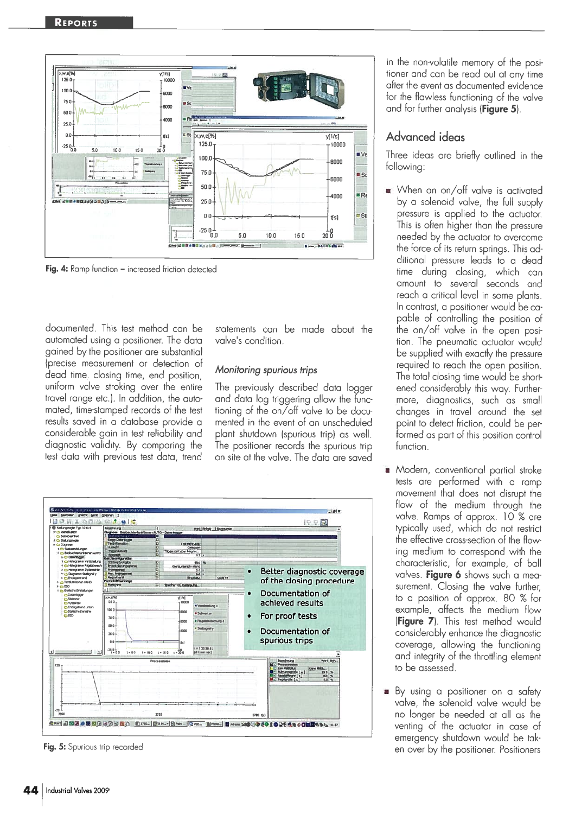

Fig. 4: Ramp function – increased friction detected

documented. This test method can be automated using <sup>a</sup> positioner. The data gained by the positioner are substantial (precise measurement or detection of dead time, closing time, end position, uniform valve stroking over the entire travel range etc.). In addition, the auto mated, time-stamped records of the test results saved in <sup>a</sup> database provide <sup>a</sup> considerable gain in test reliability and diagnostic validity. By comparing the test data with previous test data, trend

statements can be made about the valve's condition.

#### Monitoring spurious trips

The previously described data logger and data log triggering allow the func tioning of the on/off valve to be docu mented in the event of an unscheduled plant shutdown (spurious trip) as well. The positioner records the spurious trip on site at the valve. The data are saved



Fig. 5: Spurious trip recorded

in the non-volatile memory of the posi tioner and can be read out at any time after the event as documented evidence for the flawless functioning of the valve and for further analysis (Figure 5).

#### Advanced ideas

Three ideas are briefly outlined in the following:

- When an on/off valve is activated by <sup>a</sup> solenoid valve, the full supply pressure is applied to the actuator. This is often higher than the pressure needed by the actuator to overcome the force of its return springs. This ad ditional pressure leads to <sup>a</sup> dead time during closing, which can amount to several seconds and reach <sup>a</sup> critical level in some plants. In contrast, <sup>a</sup> positioner would be ca pable of controlling the position of the on/off valve in the open posi tion. The pneumatic actuator would be supplied with exactly the pressure required to reach the open position. The total closing time would be short ened considerably this way. Further more, diagnostics, such as small changes in travel around the set point to detect friction, could be per formed as par<sup>t</sup> of this position control function.
- **Modern, conventional partial stroke** tests are performed with <sup>a</sup> ramp movement that does not disrupt the flow of the medium through the valve. Ramps of approx. 10 % are typically used, which do not restrict the effective cross-section of the flowing medium to correspond with the characteristic, for example, of ball valves. Figure 6 shows such a measurement. Closing the valve further, to <sup>a</sup> position of approx. 80 % for example, affects the medium flow (Figure 7). This test method would considerably enhance the diagnostic coverage, allowing the functioning and integrity of the throttling element to be assessed.
- By using a positioner on a safety valve, the solenoid valve would be no longer be needed at all as the venting of the actuator in case of emergency shutdown would be tak en over by the positioner. Positioners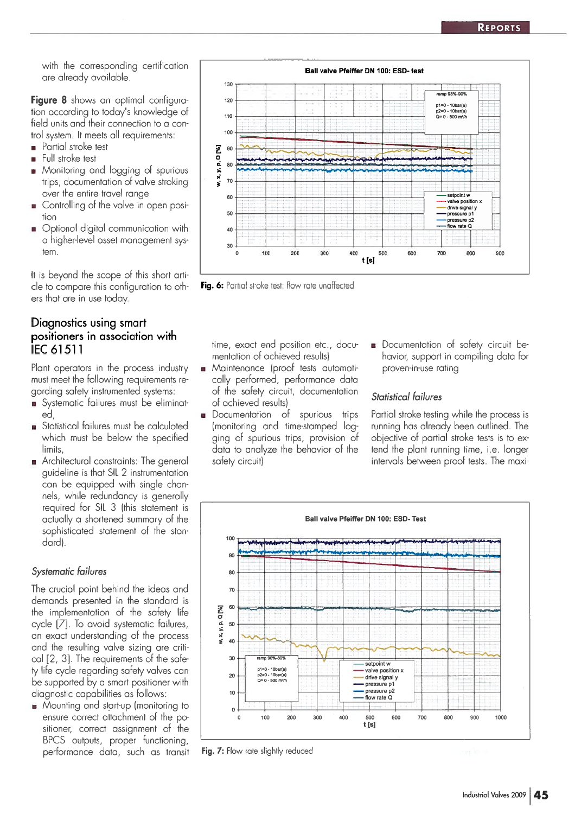with the corresponding certification are already available.

Figure 8 shows an optimal configuration according to today's knowledge of field units and their connection to <sup>a</sup> con trol system. It meets all requirements: • Partial stroke test

- •Full stroke test
- • Monitoring and logging of spurious trips, documentation of valve stroking over the entire travel range
- Controlling of the valve in open posi tion
- Optional digital communication with a higher-level asset managemen<sup>t</sup> sys tem.

It is beyond the scope of this short arti cle to compare this configuration to oth ers that are in use today.

# Diagnostics using smart positioners in association with IEC 61511

Plant operators in the process industry must meet the following requirements re garding safety instrumented systems:

- Systematic failures must be eliminat  $\blacksquare$ ed,
- Statistical failures must be calculated which must be below the specified limits,
- Architectural constraints: The general guideline is that 511. 2 instrumentation can be equipped with single chan nels, while redundancy is generally required for SIL 3 (this statement is actually <sup>a</sup> shortened summary of the sophisticated statement of the stan dard).

### Systematic failures

The crucial point behind the ideas and demands presented in the standard is the implementation of the safety life cycle [7]. To avoid systematic failures, an exact understanding of the process and the resulting valve sizing are criti cal [2, 3]. The requirements of the safe ty life cycle regarding safety valves can be supported by <sup>a</sup> smart positioner with diagnostic capabilities as follows:

**Mounting and start-up (monitoring to** ensure correct attachment of the po sitioner, correct assignment of the BPCS outputs, proper functioning, performance data, such as transit



Fig. 6: Partial stroke test: flow rate unaffected

time, exact end position etc., docu mentation of achieved resultsl

- Maintenance Iproof tests automati cally performed, performance data of the safety circuit, documentation of achieved resultsl
- Documentation of spurious trips Imonitoring and time-stamped log ging of spurious trips, provision of data to analyze the behavior of the safety circuit)
- Documentation of safety circuit be havior, support in compiling data for proven-in-use rating

#### Statistical failures

Partial stroke testing while the process is running has already been outlined. The objective of partial stroke tests is to ex tend the plant running time, i.e. longer intervals between proof tests. The maxi



Fig. 7: Flow rate slightly reduced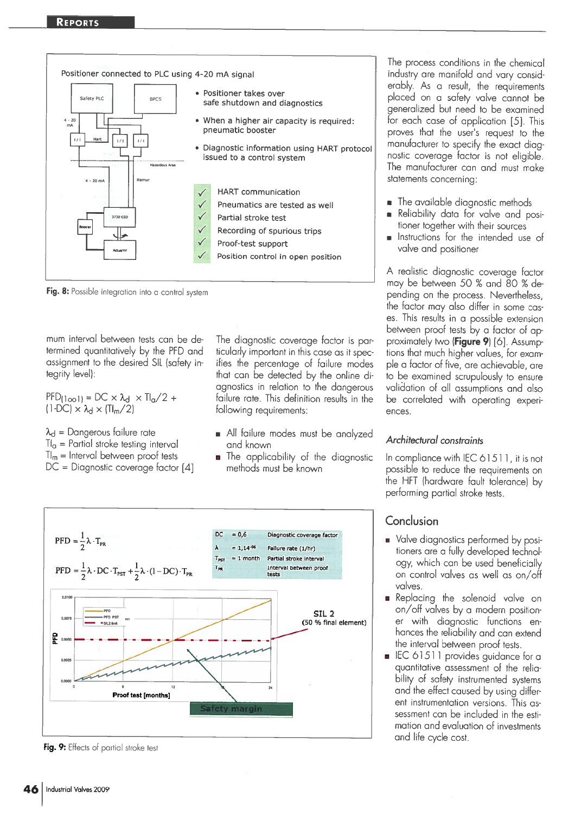



mum interval between tests can be de termined quantitatively by the PED and assignment to the desired SIL (safety in tegrity level):

 $=DC \times \lambda_d \times Tl_a/2 +$  $1-DC$ )  $\times \lambda_d \times (\Pi_m/2)$ 

 $\lambda_d$  = Dangerous failure rate

 $\mathsf{\Pi}_{\mathsf{\alpha}}$  = Partial stroke testing interval

 $\Pi_{\sf m}$  = Interval between proof tests  $DC = Diagnostic coverage factor [4]$ 

The diagnostic coverage factor is par ticularly important in this case as it spec ifies the percentage of failure modes that can be detected by the online di agnostics in relation to the dangerous failure rate. This definition results in the following requirements:

- All failure modes must be analyzed and known
- The applicability of the diagnostic methods must be known



Fig. 9: Effects of partial stroke test

The process conditions in the chemical industry are manifold and vary consid erably. As <sup>a</sup> result, the requirements <sup>p</sup>laced on <sup>a</sup> safety valve cannot be generalized but need to be examined for each case of application [5]. This proves that the user's request to the manufacturer to specify the exact diag nostic coverage factor is not eligible. The manufacturer can and must make statements concerning:

- $\;\;\;\;\;$  The available diagnostic methods
- • Reliability data for valve and pos<sup>i</sup> tioner together with their sources
- • Instructions for the intended use of valve and positioner

<sup>A</sup> realistic diagnostic coverage factor may be between 50 % and 80 % de pending on the process. Nevertheless, the factor may also differ in some cas es. This results in <sup>a</sup> possible extension between proof tests by a factor of approximately two (**Figure 9**) [6]. Assumptions that much higher values, for example <sup>a</sup> factor of five, are achievable, are to be examined scrupulously to ensure validation of all assumptions and also be correlated with operating exper<sup>i</sup> ences.

#### Architectural constraints

In compliance with IEC 61511, it is not possible to reduce the requirements on the HET (hardware fault tolerancel by performing partial stroke tests.

# Conclusion

- **u** Valve diagnostics performed by positioners are <sup>a</sup> fully developed technol ogy, which can be used beneficially on control valves as well as on/off valves.
- Replacing the solenoid valve on on/off valves by <sup>a</sup> modern position er with diagnostic functions en hances the reliability and can extend the interval between proof tests.
- EC 61511 provides guidance for a quantitative assessment of the relia bility of safety instrumented systems and the effect caused by using differ ent instrumentation versions. This as sessment can be included in the esti mation and evaluation of investments and life cycle cost.